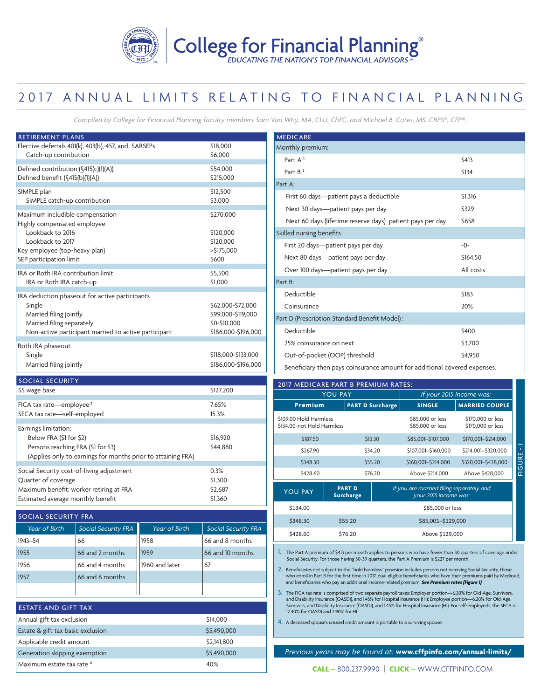

**College for Financial Planning** 

## 2017 ANNUAL LIMITS RELATING TO FINANCIAL PLANNING

*Compiled by College for Financial Planning faculty members Sam Van Why, MA, CLU, ChFC, and Michael B. Cates, MS, CRPS®, CFP®.*

| RETIREMENT PLANS                                                                                                                                                                                                                   |                                                                                      |                     |                                                            |
|------------------------------------------------------------------------------------------------------------------------------------------------------------------------------------------------------------------------------------|--------------------------------------------------------------------------------------|---------------------|------------------------------------------------------------|
| Catch-up contribution                                                                                                                                                                                                              | Elective deferrals 401(k), 403(b), 457, and SARSEPs                                  | \$18,000<br>\$6,000 |                                                            |
| Defined contribution (§415(c)(1)(A))<br>Defined benefit (§415(b)(1)(A))                                                                                                                                                            |                                                                                      |                     | \$54,000<br>\$215,000                                      |
| SIMPLE plan<br>SIMPLE catch-up contribution                                                                                                                                                                                        |                                                                                      |                     | \$12,500<br>\$3,000                                        |
| Maximum includible compensation<br>Highly compensated employee<br>Lookback to 2016<br>Lookback to 2017<br>Key employee (top-heavy plan)<br>SEP participation limit                                                                 |                                                                                      |                     | \$270,000<br>\$120,000<br>\$120,000<br>>\$175,000<br>\$600 |
| IRA or Roth IRA contribution limit<br>IRA or Roth IRA catch-up                                                                                                                                                                     |                                                                                      |                     | \$5,500<br>\$1,000                                         |
| IRA deduction phaseout for active participants<br>Single<br>\$62,000-\$72,000<br>Married filing jointly<br>\$99,000-\$119,000<br>\$0-\$10,000<br>Married filing separately<br>Non-active participant married to active participant |                                                                                      |                     | \$186,000-\$196,000                                        |
| Roth IRA phaseout<br>Single<br>Married filing jointly                                                                                                                                                                              |                                                                                      |                     | \$118,000-\$133,000<br>\$186,000-\$196,000                 |
|                                                                                                                                                                                                                                    |                                                                                      |                     |                                                            |
| SOCIAL SECURITY                                                                                                                                                                                                                    |                                                                                      |                     |                                                            |
| SS wage base                                                                                                                                                                                                                       |                                                                                      |                     | \$127,200                                                  |
| FICA tax rate-employee <sup>3</sup><br>SECA tax rate-self-employed                                                                                                                                                                 |                                                                                      |                     | 7.65%<br>15.3%                                             |
| Earnings limitation:<br>Below FRA (\$1 for \$2)<br>Persons reaching FRA (\$1 for \$3)                                                                                                                                              | (Applies only to earnings for months prior to attaining FRA)                         |                     | \$16,920<br>\$44,880                                       |
| Quarter of coverage<br>Estimated average monthly benefit                                                                                                                                                                           | Social Security cost-of-living adjustment<br>Maximum benefit: worker retiring at FRA |                     | 0.3%<br>\$1,300<br>\$2,687<br>\$1,360                      |
| <b>SOCIAL SECURITY FRA</b>                                                                                                                                                                                                         |                                                                                      |                     |                                                            |
| Year of Birth                                                                                                                                                                                                                      |                                                                                      | Year of Birth       |                                                            |
| 1943-54                                                                                                                                                                                                                            | Social Security FRA<br>66                                                            | 1958                | Social Security FRA<br>66 and 8 months                     |
| 1955                                                                                                                                                                                                                               | 66 and 2 months                                                                      | 1959                | 66 and 10 months                                           |
| 1956                                                                                                                                                                                                                               | 66 and 4 months                                                                      | 1960 and later      | 67                                                         |

| <b>ESTATE AND GIFT TAX</b>        |             |
|-----------------------------------|-------------|
| Annual gift tax exclusion         | \$14,000    |
| Estate & gift tax basic exclusion | \$5,490,000 |
| Applicable credit amount          | \$2,141,800 |
| Generation skipping exemption     | \$5,490,000 |
| Maximum estate tax rate 4         | 40%         |

| <b>MEDICARE</b>                                                           |           |
|---------------------------------------------------------------------------|-----------|
| Monthly premium:                                                          |           |
| Part A <sup>1</sup>                                                       | \$413     |
| Part B <sup>2</sup>                                                       | \$134     |
| Part A:                                                                   |           |
| First 60 days—patient pays a deductible                                   | \$1,316   |
| Next 30 days—patient pays per day                                         | \$329     |
| Next 60 days (lifetime reserve days) patient pays per day                 | \$658     |
| Skilled nursing benefits                                                  |           |
| First 20 days-patient pays per day                                        | $-0-$     |
| Next 80 days—patient pays per day                                         | \$164.50  |
| Over 100 days-patient pays per day                                        | All costs |
| Part B:                                                                   |           |
| Deductible                                                                | \$183     |
| Coinsurance                                                               | 20%       |
| Part D (Prescription Standard Benefit Model):                             |           |
| Deductible                                                                | \$400     |
| 25% coinsurance on next                                                   | \$3,700   |
| Out-of-pocket (OOP) threshold                                             | \$4,950   |
| Beneficiary then pays coinsurance amount for additional covered expenses. |           |

| <b>2017 MEDICARE PART B PREMIUM RATES:</b><br><b>YOU PAY</b> |                                                                                       |                                        |                                                                                                                                                            |
|--------------------------------------------------------------|---------------------------------------------------------------------------------------|----------------------------------------|------------------------------------------------------------------------------------------------------------------------------------------------------------|
|                                                              | <b>SINGLE</b>                                                                         | <b>MARRIED COUPLE</b>                  |                                                                                                                                                            |
|                                                              | \$85,000 or less<br>\$85,000 or less                                                  | \$170,000 or less<br>\$170,000 or less |                                                                                                                                                            |
| \$13.30                                                      | \$85,001-\$107,000                                                                    | \$170,001-\$214,000                    |                                                                                                                                                            |
| \$34.20                                                      | \$107,001-\$160,000                                                                   | \$214,001-\$320,000                    |                                                                                                                                                            |
| \$55.20                                                      | \$160,001-\$214,000                                                                   | \$320,001-\$428,000                    | FIGURE                                                                                                                                                     |
| \$76.20                                                      | Above \$214,000                                                                       | Above \$428,000                        |                                                                                                                                                            |
|                                                              |                                                                                       |                                        |                                                                                                                                                            |
|                                                              |                                                                                       |                                        |                                                                                                                                                            |
|                                                              |                                                                                       |                                        |                                                                                                                                                            |
|                                                              |                                                                                       |                                        |                                                                                                                                                            |
|                                                              | \$134.00-not Hold Harmless<br><b>PART D</b><br><b>Surcharge</b><br>\$55.20<br>\$76.20 | <b>PART D Surcharge</b>                | If your 2015 Income was:<br>If you are married filing separately and<br>your 2015 income was:<br>\$85,000 or less<br>\$85,001-\$129,000<br>Above \$129,000 |

1. The Part A premium of \$413 per month applies to persons who have fewer than 30 quarters of coverage under Social Security. For those having 30-39 quarters, the Part A Premium is \$227 per month.

2. Beneficiaries not subject to the "hold harmless" provision includes persons not receiving Social Security, those<br>who enroll in Part B for the first time in 2017, dual eligible beneficiaries who have their premiums paid

3. The FICA tax rate is comprised of two separate payroll taxes: Employer portion—6.20% for Old-Age, Survivors,<br>and Disability Insurance (OASDI), and 1.45% for Hospital Insurance (HI): Employee portion—6.20% for Old-Age,<br>S 12.40% for OASDI and 2.90% for HI.

4. A deceased spouse's unused credit amount is portable to a surviving spouse.

*Previous years may be found at:* **www.cffpinfo.com/annual-limits/**